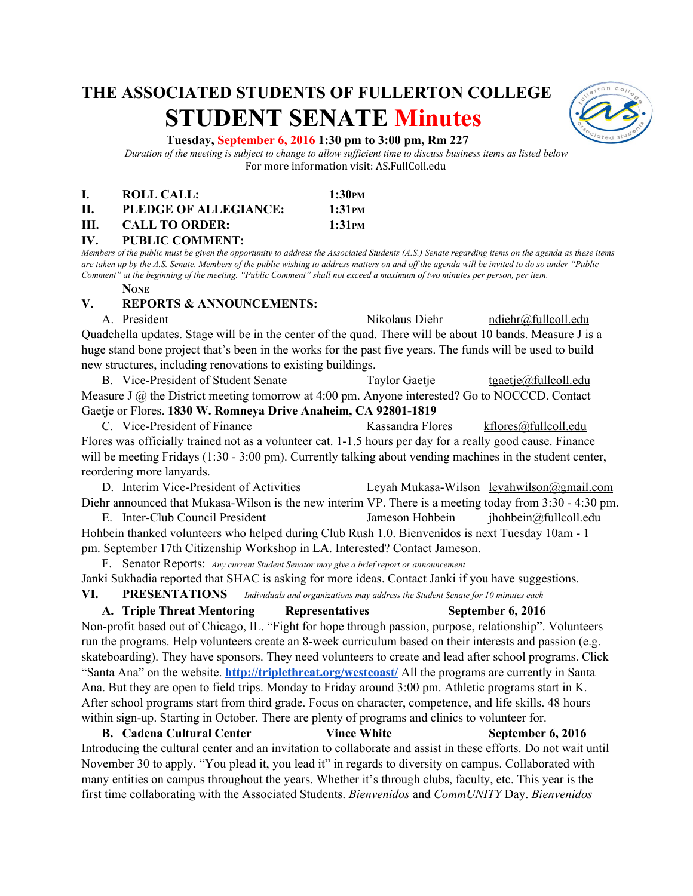# **THE ASSOCIATED STUDENTS OF FULLERTON COLLEGE STUDENT SENATE Minutes**



#### **Tuesday, September 6, 2016 1:30 pm to 3:00 pm, Rm 227**

*Duration of the meeting is subject to change to allow sufficient time to discuss business items as listed below* For more information visit: AS.FullColl.edu

| I.  | ROLL CALL:            | 1:30 <sub>PM</sub> |
|-----|-----------------------|--------------------|
| Н.  | PLEDGE OF ALLEGIANCE: | 1:31 <sub>PM</sub> |
| HI. | <b>CALL TO ORDER:</b> | 1:31 <sub>PM</sub> |

#### **IV. PUBLIC COMMENT:**

*Members of the public must be given the opportunity to address the Associated Students (A.S.) Senate regarding items on the agenda as these items are taken up by the A.S. Senate. Members of the public wishing to address matters on and off the agenda will be invited to do so under "Public Comment" at the beginning of the meeting. "Public Comment" shall not exceed a maximum of two minutes per person, per item.*

#### **NONE**

#### **V. REPORTS & ANNOUNCEMENTS:**

A. President Nikolaus Diehr [ndiehr@fullcoll.edu](mailto:ndiehr@fullcoll.edu) Quadchella updates. Stage will be in the center of the quad. There will be about 10 bands. Measure J is a huge stand bone project that's been in the works for the past five years. The funds will be used to build new structures, including renovations to existing buildings.

B. Vice-President of Student Senate Taylor Gaetje [tgaetje@fullcoll.edu](mailto:tgaetje@fullcoll.edu) Measure J  $\omega$  the District meeting tomorrow at 4:00 pm. Anyone interested? Go to NOCCCD. Contact Gaetje or Flores. 1830 W. Romneya Drive Anaheim, CA 92801-1819

C. Vice-President of Finance Kassandra Flores [kflores@fullcoll.edu](mailto:kflores@fullcoll.edu) Flores was officially trained not as a volunteer cat. 1-1.5 hours per day for a really good cause. Finance will be meeting Fridays  $(1:30 - 3:00 \text{ pm})$ . Currently talking about vending machines in the student center, reordering more lanyards.

D. Interim Vice-President of Activities Leyah Mukasa-Wilson leyahwilson@gmail.com Diehr announced that Mukasa-Wilson is the new interim VP. There is a meeting today from  $3:30 - 4:30$  pm. E. Inter-Club Council President Jameson Hohbein jhohbein includedu

Hohbein thanked volunteers who helped during Club Rush 1.0. Bienvenidos is next Tuesday 10am 1 pm. September 17th Citizenship Workshop in LA. Interested? Contact Jameson.

F. Senator Reports: *Any current Student Senator may give a brief report or announcement* Janki Sukhadia reported that SHAC is asking for more ideas. Contact Janki if you have suggestions. **VI. PRESENTATIONS** *Individuals and organizations may address the Student Senate for 10 minutes each*

**A. Triple Threat Mentoring Representatives September 6, 2016**

Non-profit based out of Chicago, IL. "Fight for hope through passion, purpose, relationship". Volunteers run the programs. Help volunteers create an 8-week curriculum based on their interests and passion (e.g. skateboarding). They have sponsors. They need volunteers to create and lead after school programs. Click "Santa Ana" on the website. **<http://triplethreat.org/westcoast/>** All the programs are currently in Santa Ana. But they are open to field trips. Monday to Friday around 3:00 pm. Athletic programs start in K. After school programs start from third grade. Focus on character, competence, and life skills. 48 hours within sign-up. Starting in October. There are plenty of programs and clinics to volunteer for.

**B. Cadena Cultural Center Vince White September 6, 2016** Introducing the cultural center and an invitation to collaborate and assist in these efforts. Do not wait until November 30 to apply. "You plead it, you lead it" in regards to diversity on campus. Collaborated with many entities on campus throughout the years. Whether it's through clubs, faculty, etc. This year is the first time collaborating with the Associated Students. *Bienvenidos* and *CommUNITY* Day. *Bienvenidos*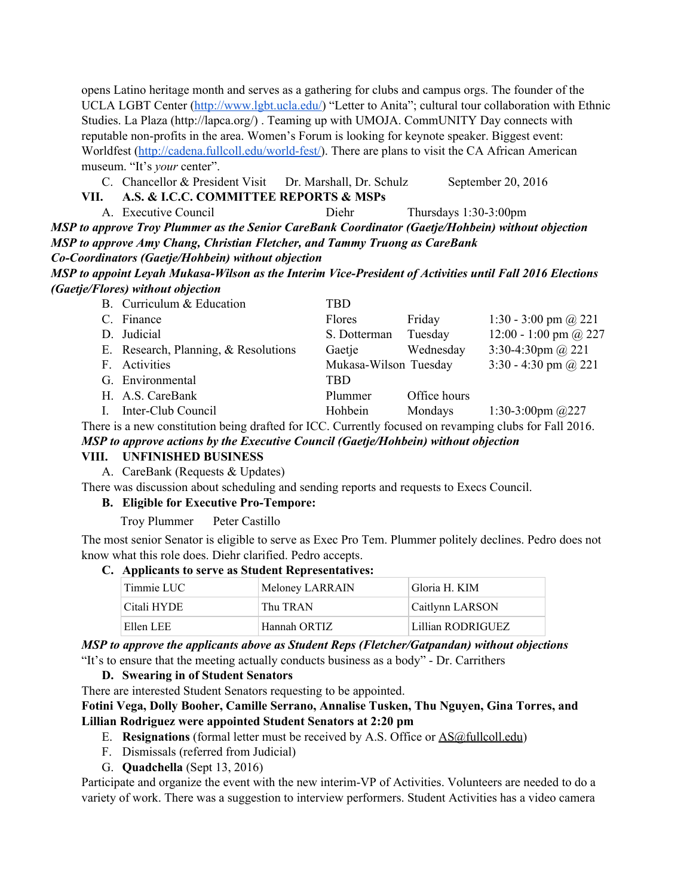opens Latino heritage month and serves as a gathering for clubs and campus orgs. The founder of the UCLA LGBT Center ([http://www.lgbt.ucla.edu/\)](http://www.lgbt.ucla.edu/) "Letter to Anita"; cultural tour collaboration with Ethnic Studies. La Plaza (http://lapca.org/) . Teaming up with UMOJA. CommUNITY Day connects with reputable non-profits in the area. Women's Forum is looking for keynote speaker. Biggest event: Worldfest (http://cadena.fullcoll.edu/world-fest/). There are plans to visit the CA African American museum. "It's *your* center".

C. Chancellor & President Visit Dr. Marshall, Dr. Schulz September 20, 2016

## **VII. A.S. & I.C.C. COMMITTEE REPORTS & MSPs**

A. Executive Council Diehr Thursdays 1:303:00pm *MSP to approve Troy Plummer as the Senior CareBank Coordinator (Gaetje/Hohbein) without objection MSP to approve Amy Chang, Christian Fletcher, and Tammy Truong as CareBank CoCoordinators (Gaetje/Hohbein) without objection*

*MSP to appoint Leyah Mukasa-Wilson as the Interim Vice-President of Activities until Fall 2016 Elections (Gaetje/Flores) without objection*

| B. Curriculum & Education            | TBD                   |              |                             |
|--------------------------------------|-----------------------|--------------|-----------------------------|
| C. Finance                           | Flores                | Friday       | 1:30 - 3:00 pm $\omega$ 221 |
| D. Judicial                          | S. Dotterman          | Tuesday      | 12:00 - 1:00 pm @ 227       |
| E. Research, Planning, & Resolutions | Gaetje                | Wednesday    | 3:30-4:30pm $@221$          |
| F. Activities                        | Mukasa-Wilson Tuesday |              | 3:30 - 4:30 pm $\omega$ 221 |
| G. Environmental                     | TBD                   |              |                             |
| H. A.S. CareBank                     | Plummer               | Office hours |                             |
| I. Inter-Club Council                | Hohbein               | Mondays      | 1:30-3:00pm $@227$          |
|                                      |                       |              |                             |

There is a new constitution being drafted for ICC. Currently focused on revamping clubs for Fall 2016. *MSP to approve actions by the Executive Council (Gaetje/Hohbein) without objection*

## **VIII. UNFINISHED BUSINESS**

A. CareBank (Requests & Updates)

There was discussion about scheduling and sending reports and requests to Execs Council.

## **B.** Eligible for Executive Pro-Tempore:

Troy Plummer Peter Castillo

The most senior Senator is eligible to serve as Exec Pro Tem. Plummer politely declines. Pedro does not know what this role does. Diehr clarified. Pedro accepts.

#### **C. Applicants to serve as Student Representatives:**

| Timmie LUC  | Meloney LARRAIN | Gloria H. KIM     |
|-------------|-----------------|-------------------|
| Citali HYDE | Thu TRAN        | Caitlynn LARSON   |
| Ellen LEE   | Hannah ORTIZ    | Lillian RODRIGUEZ |

*MSP to approve the applicants above as Student Reps (Fletcher/Gatpandan) without objections* "It's to ensure that the meeting actually conducts business as a body" Dr. Carrithers

## **D. Swearing in of Student Senators**

There are interested Student Senators requesting to be appointed.

## **Fotini Vega, Dolly Booher, Camille Serrano, Annalise Tusken, Thu Nguyen, Gina Torres, and Lillian Rodriguez were appointed Student Senators at 2:20 pm**

- E. **Resignations** (formal letter must be received by A.S. Office or [AS@fullcoll.edu\)](mailto:AS@fullcoll.edu)
- F. Dismissals (referred from Judicial)
- G. **Quadchella** (Sept 13, 2016)

Participate and organize the event with the new interim-VP of Activities. Volunteers are needed to do a variety of work. There was a suggestion to interview performers. Student Activities has a video camera